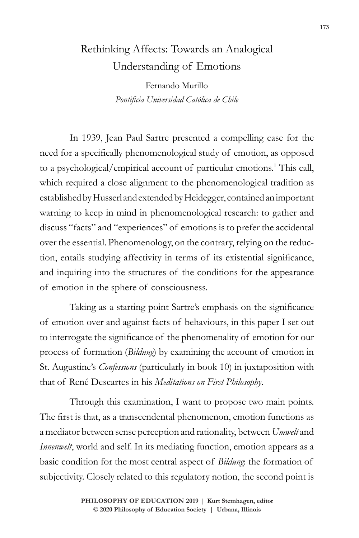## Rethinking Affects: Towards an Analogical Understanding of Emotions

Fernando Murillo *Pontificia Universidad Católica de Chile*

In 1939, Jean Paul Sartre presented a compelling case for the need for a specifically phenomenological study of emotion, as opposed to a psychological/empirical account of particular emotions.<sup>1</sup> This call, which required a close alignment to the phenomenological tradition as established by Husserl and extended by Heidegger, contained an important warning to keep in mind in phenomenological research: to gather and discuss "facts" and "experiences" of emotions is to prefer the accidental over the essential. Phenomenology, on the contrary, relying on the reduction, entails studying affectivity in terms of its existential significance, and inquiring into the structures of the conditions for the appearance of emotion in the sphere of consciousness.

Taking as a starting point Sartre's emphasis on the significance of emotion over and against facts of behaviours, in this paper I set out to interrogate the significance of the phenomenality of emotion for our process of formation (*Bildung*) by examining the account of emotion in St. Augustine's *Confessions* (particularly in book 10) in juxtaposition with that of René Descartes in his *Meditations on First Philosophy*.

Through this examination, I want to propose two main points. The first is that, as a transcendental phenomenon, emotion functions as a mediator between sense perception and rationality, between *Umwelt* and *Innenwelt*, world and self. In its mediating function, emotion appears as a basic condition for the most central aspect of *Bildung*: the formation of subjectivity. Closely related to this regulatory notion, the second point is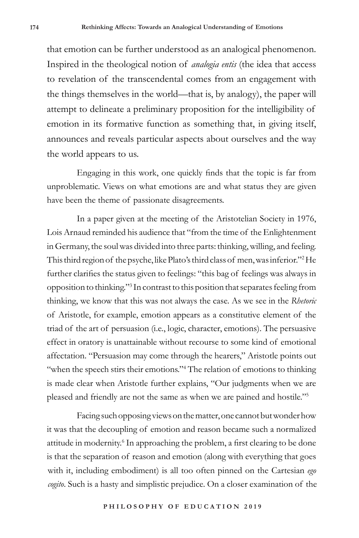that emotion can be further understood as an analogical phenomenon. Inspired in the theological notion of *analogia entis* (the idea that access to revelation of the transcendental comes from an engagement with the things themselves in the world—that is, by analogy), the paper will attempt to delineate a preliminary proposition for the intelligibility of emotion in its formative function as something that, in giving itself, announces and reveals particular aspects about ourselves and the way the world appears to us.

Engaging in this work, one quickly finds that the topic is far from unproblematic. Views on what emotions are and what status they are given have been the theme of passionate disagreements.

In a paper given at the meeting of the Aristotelian Society in 1976, Lois Arnaud reminded his audience that "from the time of the Enlightenment in Germany, the soul was divided into three parts: thinking, willing, and feeling. This third region of the psyche, like Plato's third class of men, was inferior."<sup>2</sup> He further clarifies the status given to feelings: "this bag of feelings was always in opposition to thinking."<sup>3</sup> In contrast to this position that separates feeling from thinking, we know that this was not always the case. As we see in the *Rhetoric* of Aristotle, for example, emotion appears as a constitutive element of the triad of the art of persuasion (i.e., logic, character, emotions). The persuasive effect in oratory is unattainable without recourse to some kind of emotional affectation. "Persuasion may come through the hearers," Aristotle points out "when the speech stirs their emotions."<sup>4</sup> The relation of emotions to thinking is made clear when Aristotle further explains, "Our judgments when we are pleased and friendly are not the same as when we are pained and hostile."<sup>5</sup>

Facing such opposing views on the matter, one cannot but wonder how it was that the decoupling of emotion and reason became such a normalized attitude in modernity.<sup>6</sup> In approaching the problem, a first clearing to be done is that the separation of reason and emotion (along with everything that goes with it, including embodiment) is all too often pinned on the Cartesian *ego cogito*. Such is a hasty and simplistic prejudice. On a closer examination of the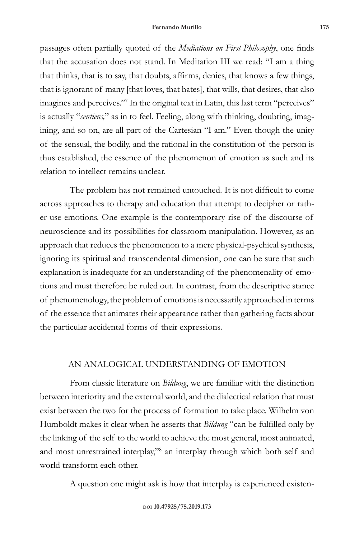passages often partially quoted of the *Mediations on First Philosophy*, one finds that the accusation does not stand. In Meditation III we read: "I am a thing that thinks, that is to say, that doubts, affirms, denies, that knows a few things, that is ignorant of many [that loves, that hates], that wills, that desires, that also imagines and perceives."7 In the original text in Latin, this last term "perceives" is actually "*sentiens,*" as in to feel. Feeling, along with thinking, doubting, imagining, and so on, are all part of the Cartesian "I am." Even though the unity of the sensual, the bodily, and the rational in the constitution of the person is thus established, the essence of the phenomenon of emotion as such and its relation to intellect remains unclear.

The problem has not remained untouched. It is not difficult to come across approaches to therapy and education that attempt to decipher or rather use emotions. One example is the contemporary rise of the discourse of neuroscience and its possibilities for classroom manipulation. However, as an approach that reduces the phenomenon to a mere physical-psychical synthesis, ignoring its spiritual and transcendental dimension, one can be sure that such explanation is inadequate for an understanding of the phenomenality of emotions and must therefore be ruled out. In contrast, from the descriptive stance of phenomenology, the problem of emotions is necessarily approached in terms of the essence that animates their appearance rather than gathering facts about the particular accidental forms of their expressions.

## AN ANALOGICAL UNDERSTANDING OF EMOTION

From classic literature on *Bildung*, we are familiar with the distinction between interiority and the external world, and the dialectical relation that must exist between the two for the process of formation to take place. Wilhelm von Humboldt makes it clear when he asserts that *Bildung* "can be fulfilled only by the linking of the self to the world to achieve the most general, most animated, and most unrestrained interplay,"<sup>8</sup> an interplay through which both self and world transform each other.

A question one might ask is how that interplay is experienced existen-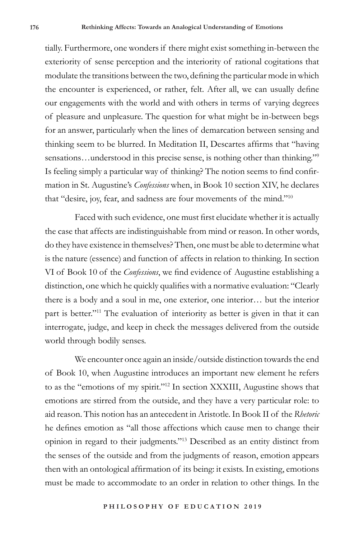tially. Furthermore, one wonders if there might exist something in-between the exteriority of sense perception and the interiority of rational cogitations that modulate the transitions between the two, defining the particular mode in which the encounter is experienced, or rather, felt. After all, we can usually define our engagements with the world and with others in terms of varying degrees of pleasure and unpleasure. The question for what might be in-between begs for an answer, particularly when the lines of demarcation between sensing and thinking seem to be blurred. In Meditation II, Descartes affirms that "having sensations...understood in this precise sense, is nothing other than thinking."<sup>9</sup> Is feeling simply a particular way of thinking? The notion seems to find confirmation in St. Augustine's *Confessions* when, in Book 10 section XIV, he declares that "desire, joy, fear, and sadness are four movements of the mind."10

Faced with such evidence, one must first elucidate whether it is actually the case that affects are indistinguishable from mind or reason. In other words, do they have existence in themselves? Then, one must be able to determine what is the nature (essence) and function of affects in relation to thinking. In section VI of Book 10 of the *Confessions*, we find evidence of Augustine establishing a distinction, one which he quickly qualifies with a normative evaluation: "Clearly there is a body and a soul in me, one exterior, one interior… but the interior part is better."<sup>11</sup> The evaluation of interiority as better is given in that it can interrogate, judge, and keep in check the messages delivered from the outside world through bodily senses.

We encounter once again an inside/outside distinction towards the end of Book 10, when Augustine introduces an important new element he refers to as the "emotions of my spirit."<sup>12</sup> In section XXXIII, Augustine shows that emotions are stirred from the outside, and they have a very particular role: to aid reason. This notion has an antecedent in Aristotle. In Book II of the *Rhetoric* he defines emotion as "all those affections which cause men to change their opinion in regard to their judgments."<sup>13</sup> Described as an entity distinct from the senses of the outside and from the judgments of reason, emotion appears then with an ontological affirmation of its being: it exists. In existing, emotions must be made to accommodate to an order in relation to other things. In the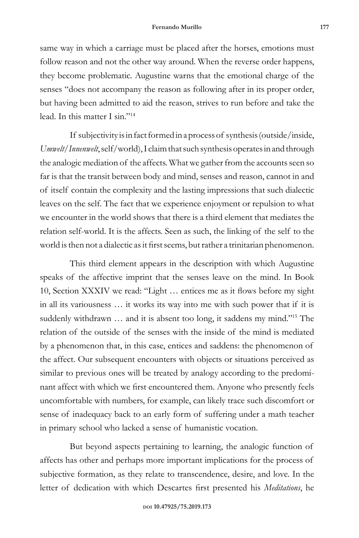same way in which a carriage must be placed after the horses, emotions must follow reason and not the other way around. When the reverse order happens, they become problematic. Augustine warns that the emotional charge of the senses "does not accompany the reason as following after in its proper order, but having been admitted to aid the reason, strives to run before and take the lead. In this matter I sin."<sup>14</sup>

If subjectivity is in fact formed in a process of synthesis (outside/inside, *Umwelt/Innenwelt*, self/world), I claim that such synthesis operates in and through the analogic mediation of the affects. What we gather from the accounts seen so far is that the transit between body and mind, senses and reason, cannot in and of itself contain the complexity and the lasting impressions that such dialectic leaves on the self. The fact that we experience enjoyment or repulsion to what we encounter in the world shows that there is a third element that mediates the relation self-world. It is the affects. Seen as such, the linking of the self to the world is then not a dialectic as it first seems, but rather a trinitarian phenomenon.

This third element appears in the description with which Augustine speaks of the affective imprint that the senses leave on the mind. In Book 10, Section XXXIV we read: "Light … entices me as it flows before my sight in all its variousness … it works its way into me with such power that if it is suddenly withdrawn … and it is absent too long, it saddens my mind."15 The relation of the outside of the senses with the inside of the mind is mediated by a phenomenon that, in this case, entices and saddens: the phenomenon of the affect. Our subsequent encounters with objects or situations perceived as similar to previous ones will be treated by analogy according to the predominant affect with which we first encountered them. Anyone who presently feels uncomfortable with numbers, for example, can likely trace such discomfort or sense of inadequacy back to an early form of suffering under a math teacher in primary school who lacked a sense of humanistic vocation.

But beyond aspects pertaining to learning, the analogic function of affects has other and perhaps more important implications for the process of subjective formation, as they relate to transcendence, desire, and love. In the letter of dedication with which Descartes first presented his *Meditations*, he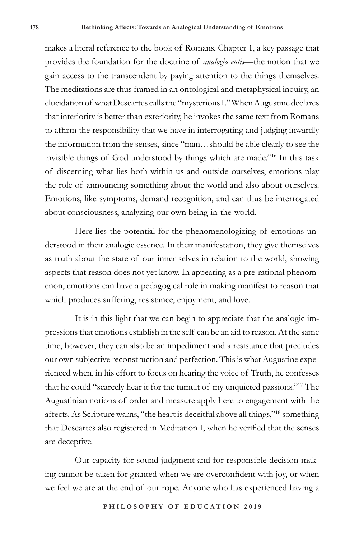makes a literal reference to the book of Romans, Chapter 1, a key passage that provides the foundation for the doctrine of *analogia entis*—the notion that we gain access to the transcendent by paying attention to the things themselves. The meditations are thus framed in an ontological and metaphysical inquiry, an elucidation of what Descartes calls the "mysterious I." When Augustine declares that interiority is better than exteriority, he invokes the same text from Romans to affirm the responsibility that we have in interrogating and judging inwardly the information from the senses, since "man…should be able clearly to see the invisible things of God understood by things which are made."16 In this task of discerning what lies both within us and outside ourselves, emotions play the role of announcing something about the world and also about ourselves. Emotions, like symptoms, demand recognition, and can thus be interrogated about consciousness, analyzing our own being-in-the-world.

Here lies the potential for the phenomenologizing of emotions understood in their analogic essence. In their manifestation, they give themselves as truth about the state of our inner selves in relation to the world, showing aspects that reason does not yet know. In appearing as a pre-rational phenomenon, emotions can have a pedagogical role in making manifest to reason that which produces suffering, resistance, enjoyment, and love.

It is in this light that we can begin to appreciate that the analogic impressions that emotions establish in the self can be an aid to reason. At the same time, however, they can also be an impediment and a resistance that precludes our own subjective reconstruction and perfection. This is what Augustine experienced when, in his effort to focus on hearing the voice of Truth, he confesses that he could "scarcely hear it for the tumult of my unquieted passions."17 The Augustinian notions of order and measure apply here to engagement with the affects. As Scripture warns, "the heart is deceitful above all things,"18 something that Descartes also registered in Meditation I, when he verified that the senses are deceptive.

Our capacity for sound judgment and for responsible decision-making cannot be taken for granted when we are overconfident with joy, or when we feel we are at the end of our rope. Anyone who has experienced having a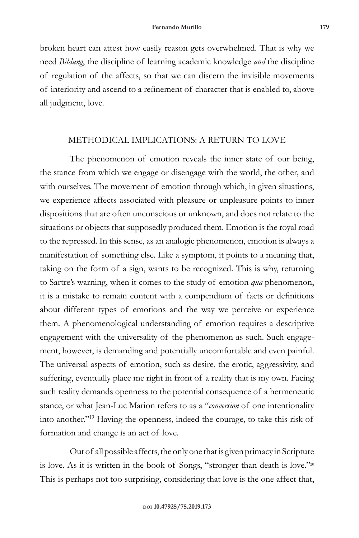broken heart can attest how easily reason gets overwhelmed. That is why we need *Bildung*, the discipline of learning academic knowledge *and* the discipline of regulation of the affects, so that we can discern the invisible movements of interiority and ascend to a refinement of character that is enabled to, above all judgment, love.

## METHODICAL IMPLICATIONS: A RETURN TO LOVE

The phenomenon of emotion reveals the inner state of our being, the stance from which we engage or disengage with the world, the other, and with ourselves. The movement of emotion through which, in given situations, we experience affects associated with pleasure or unpleasure points to inner dispositions that are often unconscious or unknown, and does not relate to the situations or objects that supposedly produced them. Emotion is the royal road to the repressed. In this sense, as an analogic phenomenon, emotion is always a manifestation of something else. Like a symptom, it points to a meaning that, taking on the form of a sign, wants to be recognized. This is why, returning to Sartre's warning, when it comes to the study of emotion *qua* phenomenon, it is a mistake to remain content with a compendium of facts or definitions about different types of emotions and the way we perceive or experience them. A phenomenological understanding of emotion requires a descriptive engagement with the universality of the phenomenon as such. Such engagement, however, is demanding and potentially uncomfortable and even painful. The universal aspects of emotion, such as desire, the erotic, aggressivity, and suffering, eventually place me right in front of a reality that is my own. Facing such reality demands openness to the potential consequence of a hermeneutic stance, or what Jean-Luc Marion refers to as a "*conversion* of one intentionality into another."<sup>19</sup> Having the openness, indeed the courage, to take this risk of formation and change is an act of love.

Out of all possible affects, the only one that is given primacy in Scripture is love. As it is written in the book of Songs, "stronger than death is love."20 This is perhaps not too surprising, considering that love is the one affect that,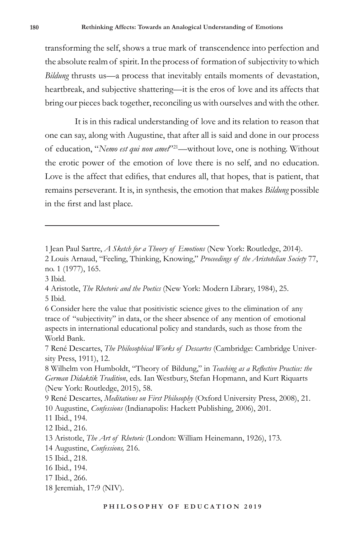transforming the self, shows a true mark of transcendence into perfection and the absolute realm of spirit. In the process of formation of subjectivity to which *Bildung* thrusts us—a process that inevitably entails moments of devastation, heartbreak, and subjective shattering—it is the eros of love and its affects that bring our pieces back together, reconciling us with ourselves and with the other.

It is in this radical understanding of love and its relation to reason that one can say, along with Augustine, that after all is said and done in our process of education, "*Nemo est qui non amet*"21—without love, one is nothing. Without the erotic power of the emotion of love there is no self, and no education. Love is the affect that edifies, that endures all, that hopes, that is patient, that remains perseverant. It is, in synthesis, the emotion that makes *Bildung* possible in the first and last place.

<sup>1</sup> Jean Paul Sartre, *A Sketch for a Theory of Emotions* (New York: Routledge, 2014).

<sup>2</sup> Louis Arnaud, "Feeling, Thinking, Knowing," *Proceedings of the Aristotelian Society* 77, no. 1 (1977), 165.

<sup>3</sup> Ibid.

<sup>4</sup> Aristotle, *The Rhetoric and the Poetics* (New York: Modern Library, 1984), 25. 5 Ibid.

<sup>6</sup> Consider here the value that positivistic science gives to the elimination of any trace of "subjectivity" in data, or the sheer absence of any mention of emotional aspects in international educational policy and standards, such as those from the World Bank.

<sup>7</sup> René Descartes, *The Philosophical Works of Descartes* (Cambridge: Cambridge University Press, 1911), 12.

<sup>8</sup> Wilhelm von Humboldt, "Theory of Bildung," in *Teaching as a Reflective Practice: the German Didaktik Tradition*, eds. Ian Westbury, Stefan Hopmann, and Kurt Riquarts (New York: Routledge, 2015), 58.

<sup>9</sup> René Descartes, *Meditations on First Philosophy* (Oxford University Press, 2008), 21. 10 Augustine, *Confessions* (Indianapolis: Hackett Publishing, 2006), 201.

<sup>11</sup> Ibid., 194.

<sup>12</sup> Ibid., 216.

<sup>13</sup> Aristotle, *The Art of Rhetoric* (London: William Heinemann, 1926), 173.

<sup>14</sup> Augustine, *Confessions,* 216.

<sup>15</sup> Ibid., 218.

<sup>16</sup> Ibid.*,* 194.

<sup>17</sup> Ibid., 266.

<sup>18</sup> Jeremiah, 17:9 (NIV).